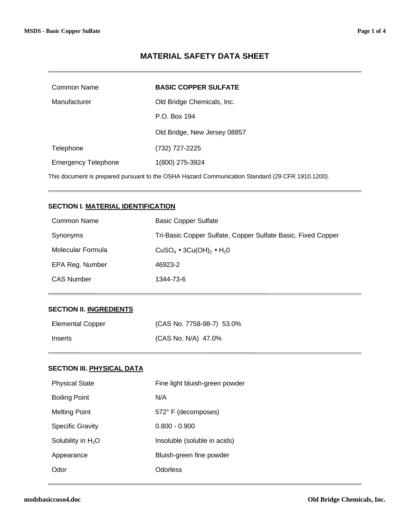# **MATERIAL SAFETY DATA SHEET**

| Common Name                                                                                      | <b>BASIC COPPER SULFATE</b>  |
|--------------------------------------------------------------------------------------------------|------------------------------|
| Manufacturer                                                                                     | Old Bridge Chemicals, Inc.   |
|                                                                                                  | P.O. Box 194                 |
|                                                                                                  | Old Bridge, New Jersey 08857 |
| Telephone                                                                                        | (732) 727-2225               |
| <b>Emergency Telephone</b>                                                                       | 1(800) 275-3924              |
| This document is prepared pursuant to the OSHA Hazard Communication Standard (29 CFR 1910.1200). |                              |

### **SECTION I. MATERIAL IDENTIFICATION**

| Common Name       | <b>Basic Copper Sulfate</b>                                  |
|-------------------|--------------------------------------------------------------|
| Synonyms          | Tri-Basic Copper Sulfate, Copper Sulfate Basic, Fixed Copper |
| Molecular Formula | CuSO <sub>4</sub> • 3Cu(OH) <sub>2</sub> • H <sub>2</sub> 0  |
| EPA Reg. Number   | 46923-2                                                      |
| <b>CAS Number</b> | 1344-73-6                                                    |

## **SECTION II. INGREDIENTS**

| <b>Elemental Copper</b> | (CAS No. 7758-98-7) 53.0% |
|-------------------------|---------------------------|
| Inserts                 | (CAS No. N/A) 47.0%       |

## **SECTION III. PHYSICAL DATA**

| <b>Physical State</b>   | Fine light bluish-green powder |
|-------------------------|--------------------------------|
| <b>Boiling Point</b>    | N/A                            |
| <b>Melting Point</b>    | 572° F (decomposes)            |
| <b>Specific Gravity</b> | $0.800 - 0.900$                |
| Solubility in $H_2O$    | Insoluble (soluble in acids)   |
| Appearance              | Bluish-green fine powder       |
| Odor                    | Odorless                       |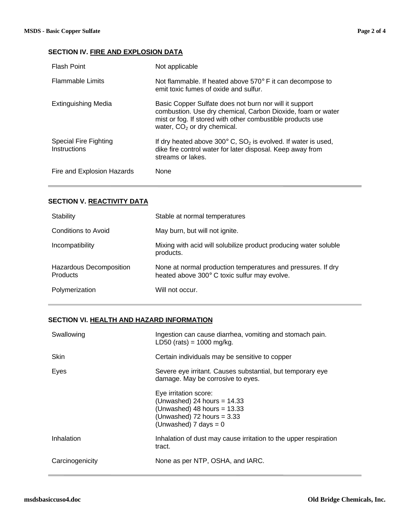# **SECTION IV. FIRE AND EXPLOSION DATA**

| <b>Flash Point</b>                    | Not applicable                                                                                                                                                                                                       |
|---------------------------------------|----------------------------------------------------------------------------------------------------------------------------------------------------------------------------------------------------------------------|
| <b>Flammable Limits</b>               | Not flammable. If heated above $570^{\circ}$ F it can decompose to<br>emit toxic fumes of oxide and sulfur.                                                                                                          |
| <b>Extinguishing Media</b>            | Basic Copper Sulfate does not burn nor will it support<br>combustion. Use dry chemical, Carbon Dioxide, foam or water<br>mist or fog. If stored with other combustible products use<br>water, $CO2$ or dry chemical. |
| Special Fire Fighting<br>Instructions | If dry heated above 300 $^{\circ}$ C, SO <sub>2</sub> is evolved. If water is used,<br>dike fire control water for later disposal. Keep away from<br>streams or lakes.                                               |
| Fire and Explosion Hazards            | <b>None</b>                                                                                                                                                                                                          |

# **SECTION V. REACTIVITY DATA**

| Stability                                  | Stable at normal temperatures                                                                                |
|--------------------------------------------|--------------------------------------------------------------------------------------------------------------|
| Conditions to Avoid                        | May burn, but will not ignite.                                                                               |
| Incompatibility                            | Mixing with acid will solubilize product producing water soluble<br>products.                                |
| Hazardous Decomposition<br><b>Products</b> | None at normal production temperatures and pressures. If dry<br>heated above 300° C toxic sulfur may evolve. |
| Polymerization                             | Will not occur.                                                                                              |

# **SECTION VI. HEALTH AND HAZARD INFORMATION**

| Swallowing      | Ingestion can cause diarrhea, vomiting and stomach pain.<br>LD50 (rats) = $1000 \text{ mg/kg}$ .                                                             |
|-----------------|--------------------------------------------------------------------------------------------------------------------------------------------------------------|
| Skin            | Certain individuals may be sensitive to copper                                                                                                               |
| Eyes            | Severe eye irritant. Causes substantial, but temporary eye<br>damage. May be corrosive to eyes.                                                              |
|                 | Eye irritation score:<br>(Unwashed) 24 hours = $14.33$<br>(Unwashed) 48 hours = $13.33$<br>(Unwashed) $72$ hours = $3.33$<br>(Unwashed) $7 \text{ days} = 0$ |
| Inhalation      | Inhalation of dust may cause irritation to the upper respiration<br>tract.                                                                                   |
| Carcinogenicity | None as per NTP, OSHA, and IARC.                                                                                                                             |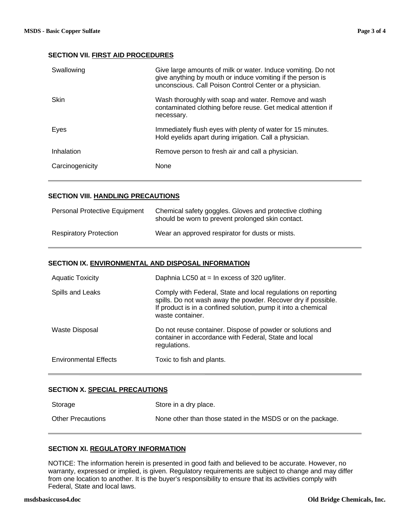### **SECTION VII. FIRST AID PROCEDURES**

| Swallowing      | Give large amounts of milk or water. Induce vomiting. Do not<br>give anything by mouth or induce vomiting if the person is<br>unconscious. Call Poison Control Center or a physician. |
|-----------------|---------------------------------------------------------------------------------------------------------------------------------------------------------------------------------------|
| <b>Skin</b>     | Wash thoroughly with soap and water. Remove and wash<br>contaminated clothing before reuse. Get medical attention if<br>necessary.                                                    |
| Eyes            | Immediately flush eyes with plenty of water for 15 minutes.<br>Hold eyelids apart during irrigation. Call a physician.                                                                |
| Inhalation      | Remove person to fresh air and call a physician.                                                                                                                                      |
| Carcinogenicity | None                                                                                                                                                                                  |

### **SECTION VIII. HANDLING PRECAUTIONS**

| <b>Personal Protective Equipment</b> | Chemical safety goggles. Gloves and protective clothing<br>should be worn to prevent prolonged skin contact. |
|--------------------------------------|--------------------------------------------------------------------------------------------------------------|
| <b>Respiratory Protection</b>        | Wear an approved respirator for dusts or mists.                                                              |

#### **SECTION IX. ENVIRONMENTAL AND DISPOSAL INFORMATION**

| <b>Aquatic Toxicity</b>      | Daphnia LC50 at $=$ In excess of 320 ug/liter.                                                                                                                                                                      |
|------------------------------|---------------------------------------------------------------------------------------------------------------------------------------------------------------------------------------------------------------------|
| Spills and Leaks             | Comply with Federal, State and local regulations on reporting<br>spills. Do not wash away the powder. Recover dry if possible.<br>If product is in a confined solution, pump it into a chemical<br>waste container. |
| Waste Disposal               | Do not reuse container. Dispose of powder or solutions and<br>container in accordance with Federal, State and local<br>regulations.                                                                                 |
| <b>Environmental Effects</b> | Toxic to fish and plants.                                                                                                                                                                                           |

### **SECTION X. SPECIAL PRECAUTIONS**

| Storage                  | Store in a dry place.                                       |
|--------------------------|-------------------------------------------------------------|
| <b>Other Precautions</b> | None other than those stated in the MSDS or on the package. |

### **SECTION XI. REGULATORY INFORMATION**

NOTICE: The information herein is presented in good faith and believed to be accurate. However, no warranty, expressed or implied, is given. Regulatory requirements are subject to change and may differ from one location to another. It is the buyer's responsibility to ensure that its activities comply with Federal, State and local laws.